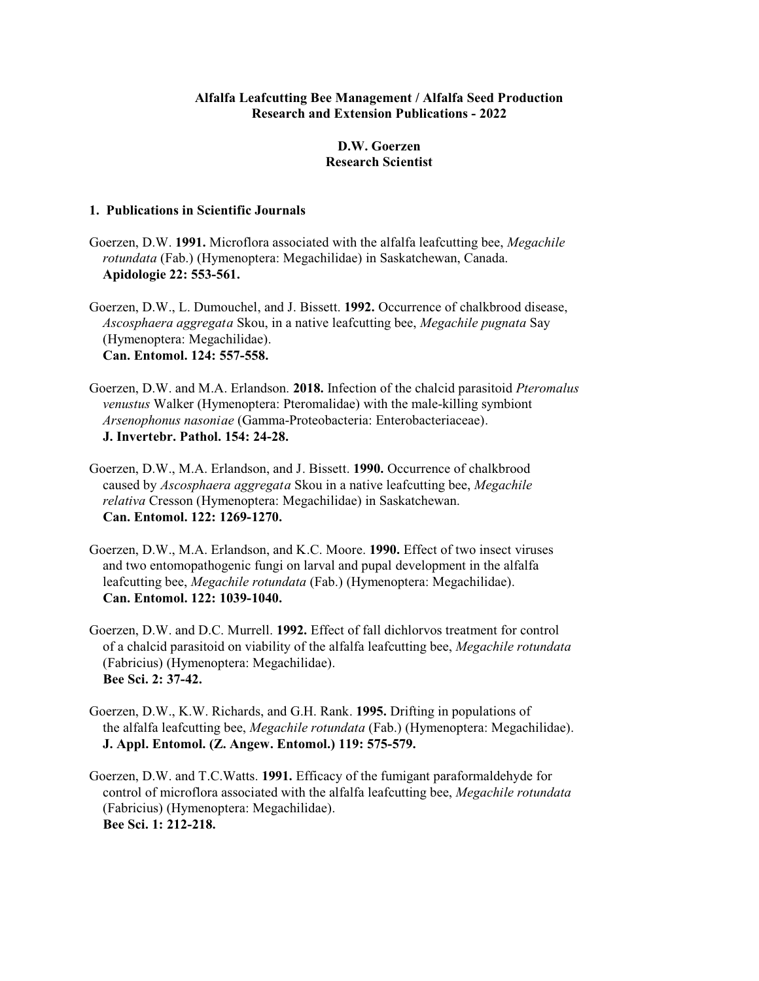## **Alfalfa Leafcutting Bee Management / Alfalfa Seed Production Research and Extension Publications - 2022**

## **D.W. Goerzen Research Scientist**

## **1. Publications in Scientific Journals**

- Goerzen, D.W. **1991.** Microflora associated with the alfalfa leafcutting bee, *Megachile rotundata* (Fab.) (Hymenoptera: Megachilidae) in Saskatchewan, Canada. **Apidologie 22: 553-561.**
- Goerzen, D.W., L. Dumouchel, and J. Bissett. **1992.** Occurrence of chalkbrood disease, *Ascosphaera aggregata* Skou, in a native leafcutting bee, *Megachile pugnata* Say (Hymenoptera: Megachilidae). **Can. Entomol. 124: 557-558.**
- Goerzen, D.W. and M.A. Erlandson. **2018.** Infection of the chalcid parasitoid *Pteromalus venustus* Walker (Hymenoptera: Pteromalidae) with the male-killing symbiont *Arsenophonus nasoniae* (Gamma-Proteobacteria: Enterobacteriaceae). **J. Invertebr. Pathol. 154: 24-28.**
- Goerzen, D.W., M.A. Erlandson, and J. Bissett. **1990.** Occurrence of chalkbrood caused by *Ascosphaera aggregata* Skou in a native leafcutting bee, *Megachile relativa* Cresson (Hymenoptera: Megachilidae) in Saskatchewan. **Can. Entomol. 122: 1269-1270.**
- Goerzen, D.W., M.A. Erlandson, and K.C. Moore. **1990.** Effect of two insect viruses and two entomopathogenic fungi on larval and pupal development in the alfalfa leafcutting bee, *Megachile rotundata* (Fab.) (Hymenoptera: Megachilidae). **Can. Entomol. 122: 1039-1040.**
- Goerzen, D.W. and D.C. Murrell. **1992.** Effect of fall dichlorvos treatment for control of a chalcid parasitoid on viability of the alfalfa leafcutting bee, *Megachile rotundata* (Fabricius) (Hymenoptera: Megachilidae). **Bee Sci. 2: 37-42.**
- Goerzen, D.W., K.W. Richards, and G.H. Rank. **1995.** Drifting in populations of the alfalfa leafcutting bee, *Megachile rotundata* (Fab.) (Hymenoptera: Megachilidae). **J. Appl. Entomol. (Z. Angew. Entomol.) 119: 575-579.**
- Goerzen, D.W. and T.C.Watts. **1991.** Efficacy of the fumigant paraformaldehyde for control of microflora associated with the alfalfa leafcutting bee, *Megachile rotundata* (Fabricius) (Hymenoptera: Megachilidae). **Bee Sci. 1: 212-218.**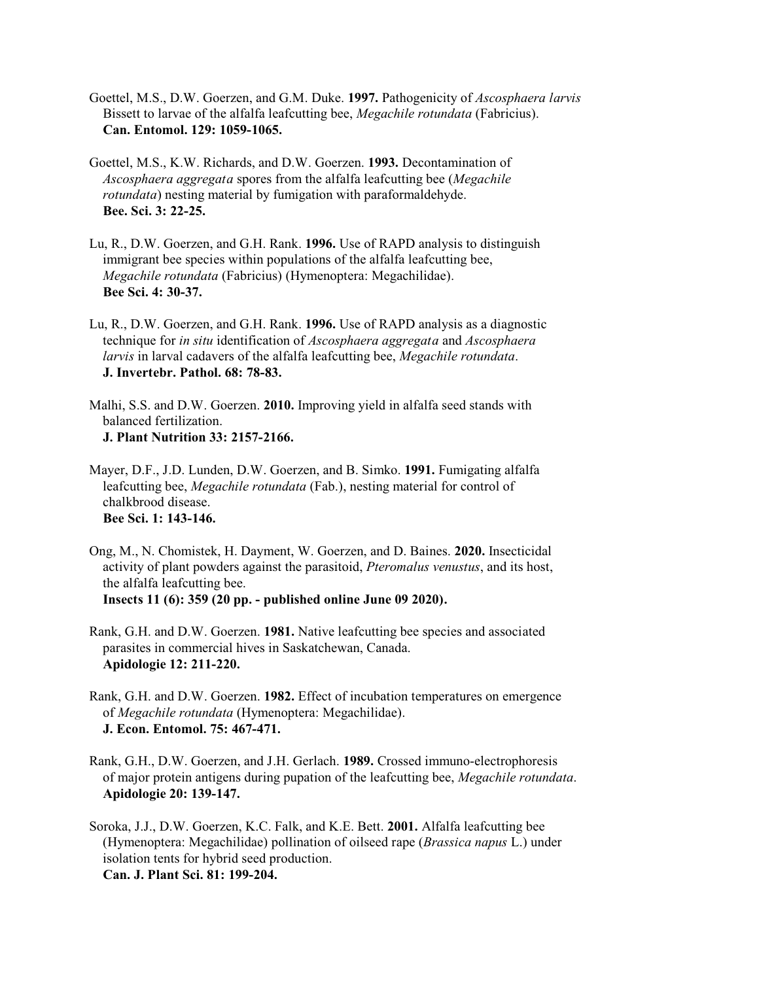- Goettel, M.S., D.W. Goerzen, and G.M. Duke. **1997.** Pathogenicity of *Ascosphaera larvis* Bissett to larvae of the alfalfa leafcutting bee, *Megachile rotundata* (Fabricius). **Can. Entomol. 129: 1059-1065.**
- Goettel, M.S., K.W. Richards, and D.W. Goerzen. **1993.** Decontamination of *Ascosphaera aggregata* spores from the alfalfa leafcutting bee (*Megachile rotundata*) nesting material by fumigation with paraformaldehyde. **Bee. Sci. 3: 22-25.**
- Lu, R., D.W. Goerzen, and G.H. Rank. **1996.** Use of RAPD analysis to distinguish immigrant bee species within populations of the alfalfa leafcutting bee, *Megachile rotundata* (Fabricius) (Hymenoptera: Megachilidae). **Bee Sci. 4: 30-37.**
- Lu, R., D.W. Goerzen, and G.H. Rank. **1996.** Use of RAPD analysis as a diagnostic technique for *in situ* identification of *Ascosphaera aggregata* and *Ascosphaera larvis* in larval cadavers of the alfalfa leafcutting bee, *Megachile rotundata*. **J. Invertebr. Pathol. 68: 78-83.**

Malhi, S.S. and D.W. Goerzen. **2010.** Improving yield in alfalfa seed stands with balanced fertilization. **J. Plant Nutrition 33: 2157-2166.**

- Mayer, D.F., J.D. Lunden, D.W. Goerzen, and B. Simko. **1991.** Fumigating alfalfa leafcutting bee, *Megachile rotundata* (Fab.), nesting material for control of chalkbrood disease. **Bee Sci. 1: 143-146.**
- Ong, M., N. Chomistek, H. Dayment, W. Goerzen, and D. Baines. **2020.** Insecticidal activity of plant powders against the parasitoid, *Pteromalus venustus*, and its host, the alfalfa leafcutting bee. **Insects 11 (6): 359 (20 pp. - published online June 09 2020).**
- Rank, G.H. and D.W. Goerzen. **1981.** Native leafcutting bee species and associated parasites in commercial hives in Saskatchewan, Canada. **Apidologie 12: 211-220.**
- Rank, G.H. and D.W. Goerzen. **1982.** Effect of incubation temperatures on emergence of *Megachile rotundata* (Hymenoptera: Megachilidae). **J. Econ. Entomol. 75: 467-471.**
- Rank, G.H., D.W. Goerzen, and J.H. Gerlach. **1989.** Crossed immuno-electrophoresis of major protein antigens during pupation of the leafcutting bee, *Megachile rotundata*. **Apidologie 20: 139-147.**
- Soroka, J.J., D.W. Goerzen, K.C. Falk, and K.E. Bett. **2001.** Alfalfa leafcutting bee (Hymenoptera: Megachilidae) pollination of oilseed rape (*Brassica napus* L.) under isolation tents for hybrid seed production. **Can. J. Plant Sci. 81: 199-204.**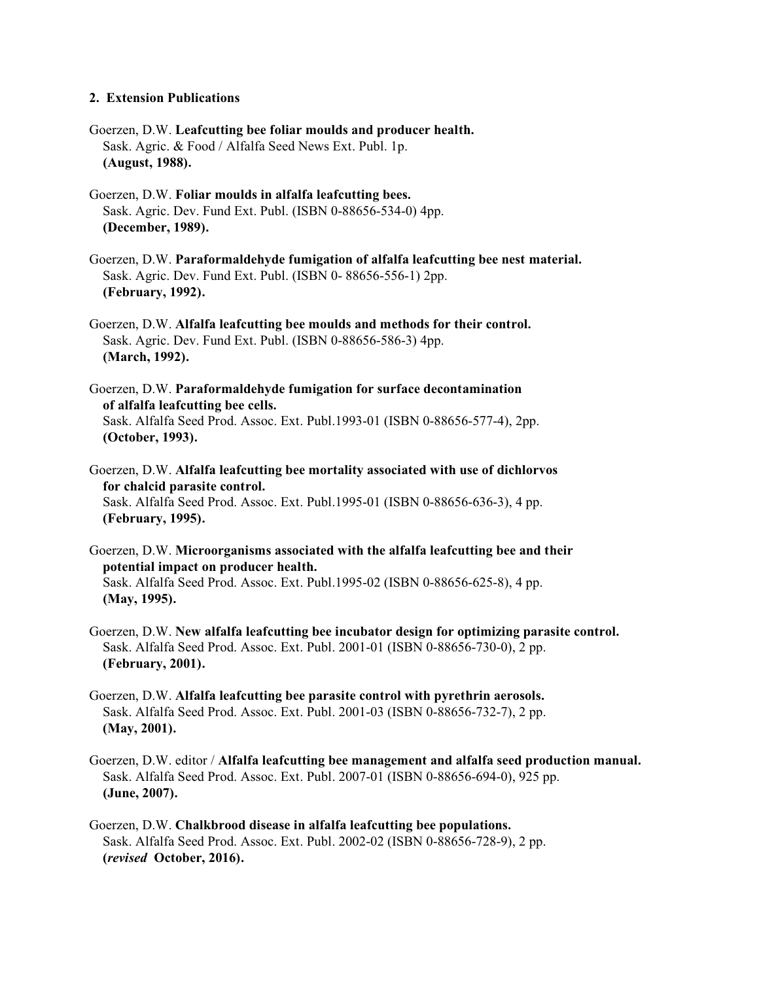## **2. Extension Publications**

- Goerzen, D.W. **Leafcutting bee foliar moulds and producer health.** Sask. Agric. & Food / Alfalfa Seed News Ext. Publ. 1p. **(August, 1988).**
- Goerzen, D.W. **Foliar moulds in alfalfa leafcutting bees.** Sask. Agric. Dev. Fund Ext. Publ. (ISBN 0-88656-534-0) 4pp. **(December, 1989).**
- Goerzen, D.W. **Paraformaldehyde fumigation of alfalfa leafcutting bee nest material.** Sask. Agric. Dev. Fund Ext. Publ. (ISBN 0- 88656-556-1) 2pp. **(February, 1992).**
- Goerzen, D.W. **Alfalfa leafcutting bee moulds and methods for their control.** Sask. Agric. Dev. Fund Ext. Publ. (ISBN 0-88656-586-3) 4pp. **(March, 1992).**
- Goerzen, D.W. **Paraformaldehyde fumigation for surface decontamination of alfalfa leafcutting bee cells.** Sask. Alfalfa Seed Prod. Assoc. Ext. Publ.1993-01 (ISBN 0-88656-577-4), 2pp. **(October, 1993).**
- Goerzen, D.W. **Alfalfa leafcutting bee mortality associated with use of dichlorvos for chalcid parasite control.** Sask. Alfalfa Seed Prod. Assoc. Ext. Publ.1995-01 (ISBN 0-88656-636-3), 4 pp.  **(February, 1995).**
- Goerzen, D.W. **Microorganisms associated with the alfalfa leafcutting bee and their potential impact on producer health.** Sask. Alfalfa Seed Prod. Assoc. Ext. Publ.1995-02 (ISBN 0-88656-625-8), 4 pp. **(May, 1995).**
- Goerzen, D.W. **New alfalfa leafcutting bee incubator design for optimizing parasite control.** Sask. Alfalfa Seed Prod. Assoc. Ext. Publ. 2001-01 (ISBN 0-88656-730-0), 2 pp.  **(February, 2001).**
- Goerzen, D.W. **Alfalfa leafcutting bee parasite control with pyrethrin aerosols.** Sask. Alfalfa Seed Prod. Assoc. Ext. Publ. 2001-03 (ISBN 0-88656-732-7), 2 pp.  **(May, 2001).**
- Goerzen, D.W. editor / **Alfalfa leafcutting bee management and alfalfa seed production manual.** Sask. Alfalfa Seed Prod. Assoc. Ext. Publ. 2007-01 (ISBN 0-88656-694-0), 925 pp. **(June, 2007).**
- Goerzen, D.W. **Chalkbrood disease in alfalfa leafcutting bee populations.** Sask. Alfalfa Seed Prod. Assoc. Ext. Publ. 2002-02 (ISBN 0-88656-728-9), 2 pp. **(***revised* **October, 2016).**